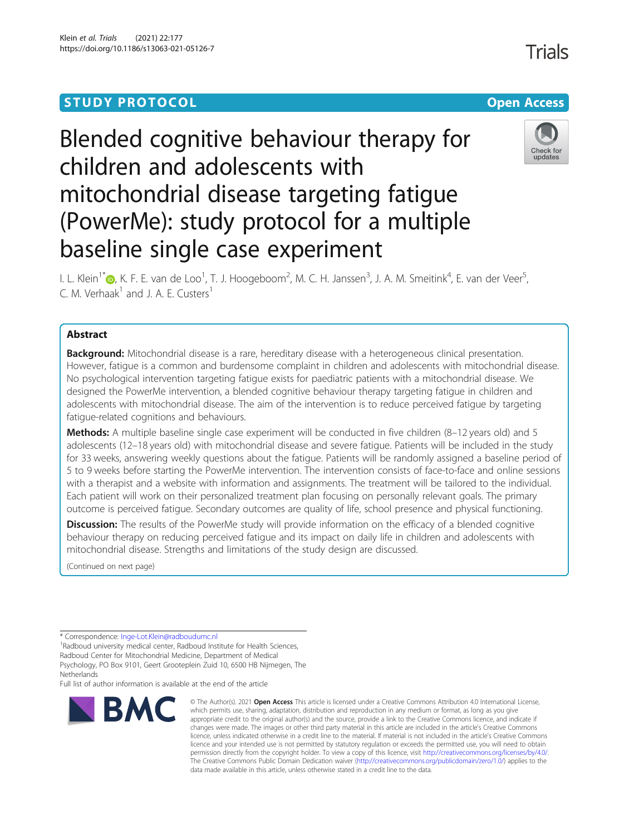## **STUDY PROTOCOL CONSUMING THE RESERVE ACCESS**

# Blended cognitive behaviour therapy for children and adolescents with mitochondrial disease targeting fatigue (PowerMe): study protocol for a multiple baseline single case experiment

I. L. Klein<sup>1[\\*](http://orcid.org/0000-0002-4122-6650)</sup>�, K. F. E. van de Loo<sup>1</sup>, T. J. Hoogeboom<sup>2</sup>, M. C. H. Janssen<sup>3</sup>, J. A. M. Smeitink<sup>4</sup>, E. van der Veer<sup>5</sup> , C. M. Verhaak<sup>1</sup> and J. A. E. Custers<sup>1</sup>

### Abstract

**Background:** Mitochondrial disease is a rare, hereditary disease with a heterogeneous clinical presentation. However, fatigue is a common and burdensome complaint in children and adolescents with mitochondrial disease. No psychological intervention targeting fatigue exists for paediatric patients with a mitochondrial disease. We designed the PowerMe intervention, a blended cognitive behaviour therapy targeting fatigue in children and adolescents with mitochondrial disease. The aim of the intervention is to reduce perceived fatigue by targeting fatigue-related cognitions and behaviours.

Methods: A multiple baseline single case experiment will be conducted in five children (8–12 years old) and 5 adolescents (12–18 years old) with mitochondrial disease and severe fatigue. Patients will be included in the study for 33 weeks, answering weekly questions about the fatigue. Patients will be randomly assigned a baseline period of 5 to 9 weeks before starting the PowerMe intervention. The intervention consists of face-to-face and online sessions with a therapist and a website with information and assignments. The treatment will be tailored to the individual. Each patient will work on their personalized treatment plan focusing on personally relevant goals. The primary outcome is perceived fatigue. Secondary outcomes are quality of life, school presence and physical functioning.

**Discussion:** The results of the PowerMe study will provide information on the efficacy of a blended cognitive behaviour therapy on reducing perceived fatigue and its impact on daily life in children and adolescents with mitochondrial disease. Strengths and limitations of the study design are discussed.

(Continued on next page)

<sup>1</sup> Radboud university medical center, Radboud Institute for Health Sciences, Radboud Center for Mitochondrial Medicine, Department of Medical Psychology, PO Box 9101, Geert Grooteplein Zuid 10, 6500 HB Nijmegen, The **Netherlands** 

Full list of author information is available at the end of the article



<sup>©</sup> The Author(s), 2021 **Open Access** This article is licensed under a Creative Commons Attribution 4.0 International License, which permits use, sharing, adaptation, distribution and reproduction in any medium or format, as long as you give appropriate credit to the original author(s) and the source, provide a link to the Creative Commons licence, and indicate if changes were made. The images or other third party material in this article are included in the article's Creative Commons licence, unless indicated otherwise in a credit line to the material. If material is not included in the article's Creative Commons licence and your intended use is not permitted by statutory regulation or exceeds the permitted use, you will need to obtain permission directly from the copyright holder. To view a copy of this licence, visit [http://creativecommons.org/licenses/by/4.0/.](http://creativecommons.org/licenses/by/4.0/) The Creative Commons Public Domain Dedication waiver [\(http://creativecommons.org/publicdomain/zero/1.0/](http://creativecommons.org/publicdomain/zero/1.0/)) applies to the data made available in this article, unless otherwise stated in a credit line to the data.







<sup>\*</sup> Correspondence: [Inge-Lot.Klein@radboudumc.nl](mailto:Inge-Lot.Klein@radboudumc.nl) <sup>1</sup>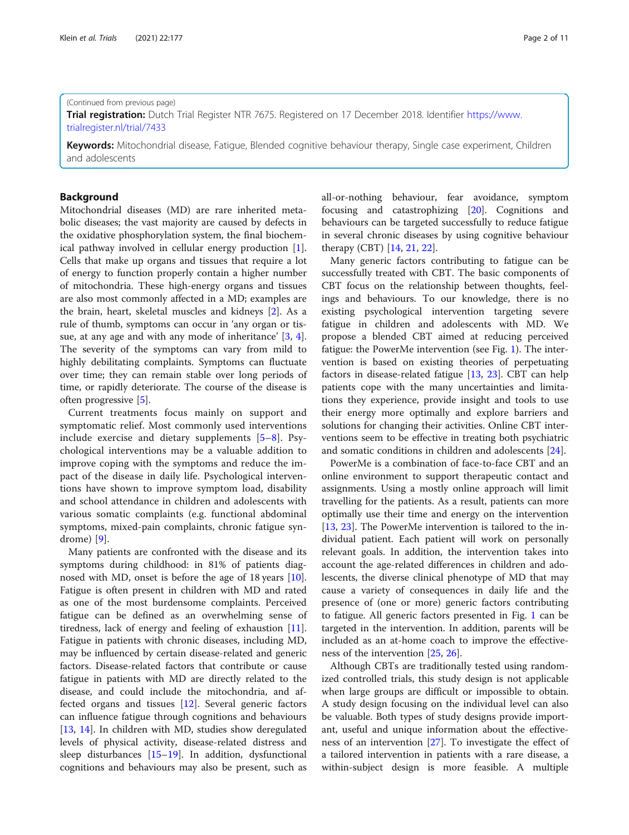#### (Continued from previous page)

Trial registration: Dutch Trial Register NTR 7675. Registered on 17 December 2018. Identifier [https://www.](https://www.trialregister.nl/trial/7433) [trialregister.nl/trial/7433](https://www.trialregister.nl/trial/7433)

Keywords: Mitochondrial disease, Fatigue, Blended cognitive behaviour therapy, Single case experiment, Children and adolescents

#### **Background**

Mitochondrial diseases (MD) are rare inherited metabolic diseases; the vast majority are caused by defects in the oxidative phosphorylation system, the final biochemical pathway involved in cellular energy production [\[1](#page-9-0)]. Cells that make up organs and tissues that require a lot of energy to function properly contain a higher number of mitochondria. These high-energy organs and tissues are also most commonly affected in a MD; examples are the brain, heart, skeletal muscles and kidneys [[2\]](#page-9-0). As a rule of thumb, symptoms can occur in 'any organ or tissue, at any age and with any mode of inheritance' [[3,](#page-9-0) [4](#page-9-0)]. The severity of the symptoms can vary from mild to highly debilitating complaints. Symptoms can fluctuate over time; they can remain stable over long periods of time, or rapidly deteriorate. The course of the disease is often progressive [\[5](#page-9-0)].

Current treatments focus mainly on support and symptomatic relief. Most commonly used interventions include exercise and dietary supplements  $[5-8]$  $[5-8]$  $[5-8]$  $[5-8]$ . Psychological interventions may be a valuable addition to improve coping with the symptoms and reduce the impact of the disease in daily life. Psychological interventions have shown to improve symptom load, disability and school attendance in children and adolescents with various somatic complaints (e.g. functional abdominal symptoms, mixed-pain complaints, chronic fatigue syndrome) [\[9](#page-9-0)].

Many patients are confronted with the disease and its symptoms during childhood: in 81% of patients diag-nosed with MD, onset is before the age of 18 years [\[10](#page-9-0)]. Fatigue is often present in children with MD and rated as one of the most burdensome complaints. Perceived fatigue can be defined as an overwhelming sense of tiredness, lack of energy and feeling of exhaustion [\[11](#page-9-0)]. Fatigue in patients with chronic diseases, including MD, may be influenced by certain disease-related and generic factors. Disease-related factors that contribute or cause fatigue in patients with MD are directly related to the disease, and could include the mitochondria, and affected organs and tissues [[12\]](#page-9-0). Several generic factors can influence fatigue through cognitions and behaviours [[13,](#page-9-0) [14](#page-9-0)]. In children with MD, studies show deregulated levels of physical activity, disease-related distress and sleep disturbances [\[15](#page-9-0)–[19\]](#page-9-0). In addition, dysfunctional cognitions and behaviours may also be present, such as all-or-nothing behaviour, fear avoidance, symptom focusing and catastrophizing [\[20\]](#page-9-0). Cognitions and behaviours can be targeted successfully to reduce fatigue in several chronic diseases by using cognitive behaviour therapy (CBT) [[14,](#page-9-0) [21](#page-9-0), [22](#page-9-0)].

Many generic factors contributing to fatigue can be successfully treated with CBT. The basic components of CBT focus on the relationship between thoughts, feelings and behaviours. To our knowledge, there is no existing psychological intervention targeting severe fatigue in children and adolescents with MD. We propose a blended CBT aimed at reducing perceived fatigue: the PowerMe intervention (see Fig. [1](#page-2-0)). The intervention is based on existing theories of perpetuating factors in disease-related fatigue [[13,](#page-9-0) [23](#page-9-0)]. CBT can help patients cope with the many uncertainties and limitations they experience, provide insight and tools to use their energy more optimally and explore barriers and solutions for changing their activities. Online CBT interventions seem to be effective in treating both psychiatric and somatic conditions in children and adolescents [[24\]](#page-9-0).

PowerMe is a combination of face-to-face CBT and an online environment to support therapeutic contact and assignments. Using a mostly online approach will limit travelling for the patients. As a result, patients can more optimally use their time and energy on the intervention [[13,](#page-9-0) [23\]](#page-9-0). The PowerMe intervention is tailored to the individual patient. Each patient will work on personally relevant goals. In addition, the intervention takes into account the age-related differences in children and adolescents, the diverse clinical phenotype of MD that may cause a variety of consequences in daily life and the presence of (one or more) generic factors contributing to fatigue. All generic factors presented in Fig. [1](#page-2-0) can be targeted in the intervention. In addition, parents will be included as an at-home coach to improve the effectiveness of the intervention [[25,](#page-9-0) [26](#page-9-0)].

Although CBTs are traditionally tested using randomized controlled trials, this study design is not applicable when large groups are difficult or impossible to obtain. A study design focusing on the individual level can also be valuable. Both types of study designs provide important, useful and unique information about the effectiveness of an intervention [[27](#page-10-0)]. To investigate the effect of a tailored intervention in patients with a rare disease, a within-subject design is more feasible. A multiple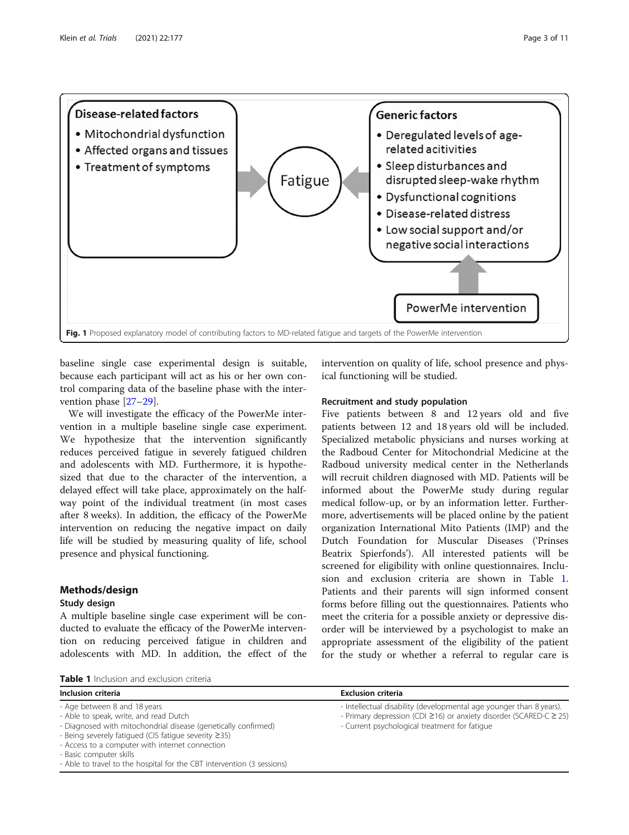<span id="page-2-0"></span>

baseline single case experimental design is suitable, because each participant will act as his or her own control comparing data of the baseline phase with the intervention phase [\[27](#page-10-0)–[29](#page-10-0)].

We will investigate the efficacy of the PowerMe intervention in a multiple baseline single case experiment. We hypothesize that the intervention significantly reduces perceived fatigue in severely fatigued children and adolescents with MD. Furthermore, it is hypothesized that due to the character of the intervention, a delayed effect will take place, approximately on the halfway point of the individual treatment (in most cases after 8 weeks). In addition, the efficacy of the PowerMe intervention on reducing the negative impact on daily life will be studied by measuring quality of life, school presence and physical functioning.

#### Methods/design

#### Study design

A multiple baseline single case experiment will be conducted to evaluate the efficacy of the PowerMe intervention on reducing perceived fatigue in children and adolescents with MD. In addition, the effect of the

Table 1 Inclusion and exclusion criteria

intervention on quality of life, school presence and physical functioning will be studied.

#### Recruitment and study population

Five patients between 8 and 12 years old and five patients between 12 and 18 years old will be included. Specialized metabolic physicians and nurses working at the Radboud Center for Mitochondrial Medicine at the Radboud university medical center in the Netherlands will recruit children diagnosed with MD. Patients will be informed about the PowerMe study during regular medical follow-up, or by an information letter. Furthermore, advertisements will be placed online by the patient organization International Mito Patients (IMP) and the Dutch Foundation for Muscular Diseases ('Prinses Beatrix Spierfonds'). All interested patients will be screened for eligibility with online questionnaires. Inclusion and exclusion criteria are shown in Table 1. Patients and their parents will sign informed consent forms before filling out the questionnaires. Patients who meet the criteria for a possible anxiety or depressive disorder will be interviewed by a psychologist to make an appropriate assessment of the eligibility of the patient for the study or whether a referral to regular care is

| <b>Exclusion criteria</b>                                                                                                                                                                             |
|-------------------------------------------------------------------------------------------------------------------------------------------------------------------------------------------------------|
| - Intellectual disability (developmental age younger than 8 years).<br>- Primary depression (CDI $\geq$ 16) or anxiety disorder (SCARED-C $\geq$ 25)<br>- Current psychological treatment for fatigue |
|                                                                                                                                                                                                       |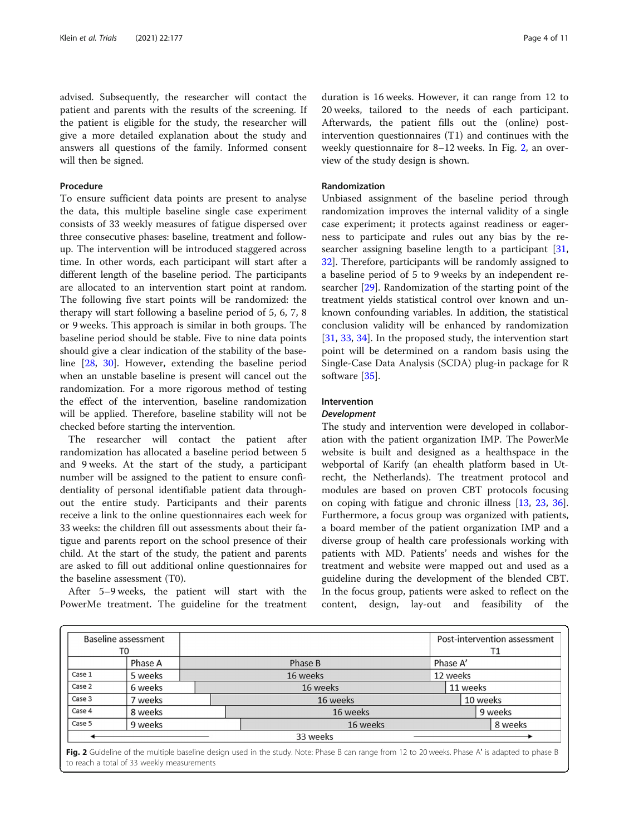advised. Subsequently, the researcher will contact the patient and parents with the results of the screening. If the patient is eligible for the study, the researcher will give a more detailed explanation about the study and answers all questions of the family. Informed consent will then be signed.

#### Procedure

To ensure sufficient data points are present to analyse the data, this multiple baseline single case experiment consists of 33 weekly measures of fatigue dispersed over three consecutive phases: baseline, treatment and followup. The intervention will be introduced staggered across time. In other words, each participant will start after a different length of the baseline period. The participants are allocated to an intervention start point at random. The following five start points will be randomized: the therapy will start following a baseline period of 5, 6, 7, 8 or 9 weeks. This approach is similar in both groups. The baseline period should be stable. Five to nine data points should give a clear indication of the stability of the baseline [\[28](#page-10-0), [30](#page-10-0)]. However, extending the baseline period when an unstable baseline is present will cancel out the randomization. For a more rigorous method of testing the effect of the intervention, baseline randomization will be applied. Therefore, baseline stability will not be checked before starting the intervention.

The researcher will contact the patient after randomization has allocated a baseline period between 5 and 9 weeks. At the start of the study, a participant number will be assigned to the patient to ensure confidentiality of personal identifiable patient data throughout the entire study. Participants and their parents receive a link to the online questionnaires each week for 33 weeks: the children fill out assessments about their fatigue and parents report on the school presence of their child. At the start of the study, the patient and parents are asked to fill out additional online questionnaires for the baseline assessment (T0).

After 5–9 weeks, the patient will start with the PowerMe treatment. The guideline for the treatment

duration is 16 weeks. However, it can range from 12 to 20 weeks, tailored to the needs of each participant. Afterwards, the patient fills out the (online) postintervention questionnaires (T1) and continues with the weekly questionnaire for 8–12 weeks. In Fig. 2, an overview of the study design is shown.

#### Randomization

Unbiased assignment of the baseline period through randomization improves the internal validity of a single case experiment; it protects against readiness or eagerness to participate and rules out any bias by the re-searcher assigning baseline length to a participant [[31](#page-10-0), [32\]](#page-10-0). Therefore, participants will be randomly assigned to a baseline period of 5 to 9 weeks by an independent researcher [\[29\]](#page-10-0). Randomization of the starting point of the treatment yields statistical control over known and unknown confounding variables. In addition, the statistical conclusion validity will be enhanced by randomization [[31,](#page-10-0) [33,](#page-10-0) [34\]](#page-10-0). In the proposed study, the intervention start point will be determined on a random basis using the Single-Case Data Analysis (SCDA) plug-in package for R software [\[35\]](#page-10-0).

#### Intervention

#### Development

The study and intervention were developed in collaboration with the patient organization IMP. The PowerMe website is built and designed as a healthspace in the webportal of Karify (an ehealth platform based in Utrecht, the Netherlands). The treatment protocol and modules are based on proven CBT protocols focusing on coping with fatigue and chronic illness [\[13,](#page-9-0) [23](#page-9-0), [36](#page-10-0)]. Furthermore, a focus group was organized with patients, a board member of the patient organization IMP and a diverse group of health care professionals working with patients with MD. Patients' needs and wishes for the treatment and website were mapped out and used as a guideline during the development of the blended CBT. In the focus group, patients were asked to reflect on the content, design, lay-out and feasibility of the

| Baseline assessment |         |         |          |  |          | Post-intervention assessment |  |
|---------------------|---------|---------|----------|--|----------|------------------------------|--|
| T0                  |         |         |          |  |          | Τ1                           |  |
|                     | Phase A | Phase B |          |  | Phase A' |                              |  |
| Case 1              | 5 weeks |         | 16 weeks |  | 12 weeks |                              |  |
| Case 2              | 6 weeks |         | 16 weeks |  | 11 weeks |                              |  |
| Case 3              | 7 weeks |         | 16 weeks |  |          | 10 weeks                     |  |
| Case 4              | 8 weeks |         | 16 weeks |  |          | 9 weeks                      |  |
| Case 5              | 9 weeks |         | 16 weeks |  |          | 8 weeks                      |  |
|                     |         |         | 33 weeks |  |          |                              |  |

Fig. 2 Guideline of the multiple baseline design used in the study. Note: Phase B can range from 12 to 20 weeks. Phase A' is adapted to phase B to reach a total of 33 weekly measurements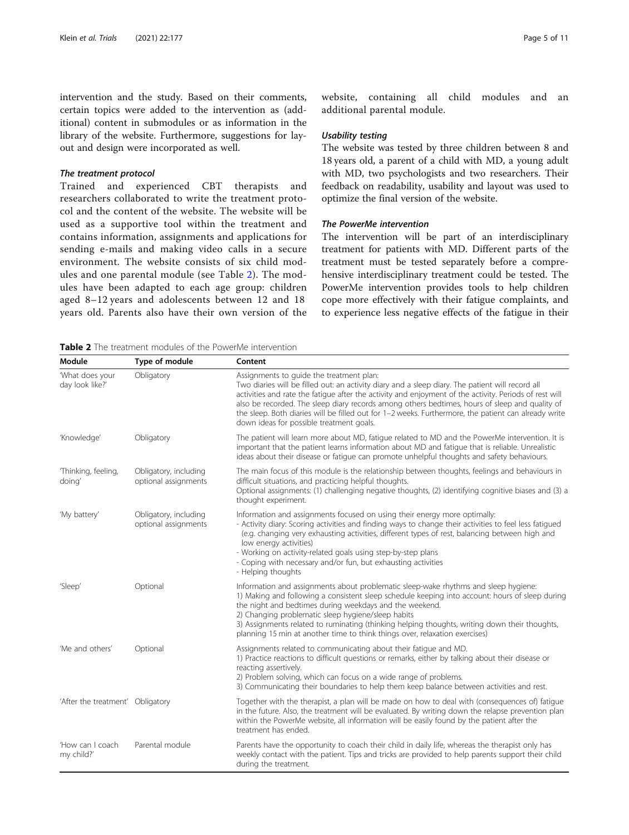intervention and the study. Based on their comments, certain topics were added to the intervention as (additional) content in submodules or as information in the library of the website. Furthermore, suggestions for layout and design were incorporated as well.

#### The treatment protocol

Trained and experienced CBT therapists and researchers collaborated to write the treatment protocol and the content of the website. The website will be used as a supportive tool within the treatment and contains information, assignments and applications for sending e-mails and making video calls in a secure environment. The website consists of six child modules and one parental module (see Table 2). The modules have been adapted to each age group: children aged 8–12 years and adolescents between 12 and 18 years old. Parents also have their own version of the

Table 2 The treatment modules of the PowerMe intervention

website, containing all child modules and an additional parental module.

#### Usability testing

The website was tested by three children between 8 and 18 years old, a parent of a child with MD, a young adult with MD, two psychologists and two researchers. Their feedback on readability, usability and layout was used to optimize the final version of the website.

#### The PowerMe intervention

The intervention will be part of an interdisciplinary treatment for patients with MD. Different parts of the treatment must be tested separately before a comprehensive interdisciplinary treatment could be tested. The PowerMe intervention provides tools to help children cope more effectively with their fatigue complaints, and to experience less negative effects of the fatigue in their

| Module                             | Type of module                                | Content                                                                                                                                                                                                                                                                                                                                                                                                                                                                                                      |
|------------------------------------|-----------------------------------------------|--------------------------------------------------------------------------------------------------------------------------------------------------------------------------------------------------------------------------------------------------------------------------------------------------------------------------------------------------------------------------------------------------------------------------------------------------------------------------------------------------------------|
| 'What does your<br>day look like?' | Obligatory                                    | Assignments to quide the treatment plan:<br>Two diaries will be filled out: an activity diary and a sleep diary. The patient will record all<br>activities and rate the fatigue after the activity and enjoyment of the activity. Periods of rest will<br>also be recorded. The sleep diary records among others bedtimes, hours of sleep and quality of<br>the sleep. Both diaries will be filled out for 1-2 weeks. Furthermore, the patient can already write<br>down ideas for possible treatment goals. |
| 'Knowledge'                        | Obligatory                                    | The patient will learn more about MD, fatigue related to MD and the PowerMe intervention. It is<br>important that the patient learns information about MD and fatique that is reliable. Unrealistic<br>ideas about their disease or fatigue can promote unhelpful thoughts and safety behaviours.                                                                                                                                                                                                            |
| Thinking, feeling,<br>doing'       | Obligatory, including<br>optional assignments | The main focus of this module is the relationship between thoughts, feelings and behaviours in<br>difficult situations, and practicing helpful thoughts.<br>Optional assignments: (1) challenging negative thoughts, (2) identifying cognitive biases and (3) a<br>thought experiment.                                                                                                                                                                                                                       |
| 'My battery'                       | Obligatory, including<br>optional assignments | Information and assignments focused on using their energy more optimally:<br>- Activity diary: Scoring activities and finding ways to change their activities to feel less fatigued<br>(e.g. changing very exhausting activities, different types of rest, balancing between high and<br>low energy activities)<br>- Working on activity-related goals using step-by-step plans<br>- Coping with necessary and/or fun, but exhausting activities<br>- Helping thoughts                                       |
| 'Sleep'                            | Optional                                      | Information and assignments about problematic sleep-wake rhythms and sleep hygiene:<br>1) Making and following a consistent sleep schedule keeping into account: hours of sleep during<br>the night and bedtimes during weekdays and the weekend.<br>2) Changing problematic sleep hygiene/sleep habits<br>3) Assignments related to ruminating (thinking helping thoughts, writing down their thoughts,<br>planning 15 min at another time to think things over, relaxation exercises)                      |
| 'Me and others'                    | Optional                                      | Assignments related to communicating about their fatigue and MD.<br>1) Practice reactions to difficult questions or remarks, either by talking about their disease or<br>reacting assertively.<br>2) Problem solving, which can focus on a wide range of problems.<br>3) Communicating their boundaries to help them keep balance between activities and rest.                                                                                                                                               |
| 'After the treatment' Obligatory   |                                               | Together with the therapist, a plan will be made on how to deal with (consequences of) fatigue<br>in the future. Also, the treatment will be evaluated. By writing down the relapse prevention plan<br>within the PowerMe website, all information will be easily found by the patient after the<br>treatment has ended.                                                                                                                                                                                     |
| 'How can I coach<br>my child?'     | Parental module                               | Parents have the opportunity to coach their child in daily life, whereas the therapist only has<br>weekly contact with the patient. Tips and tricks are provided to help parents support their child<br>during the treatment.                                                                                                                                                                                                                                                                                |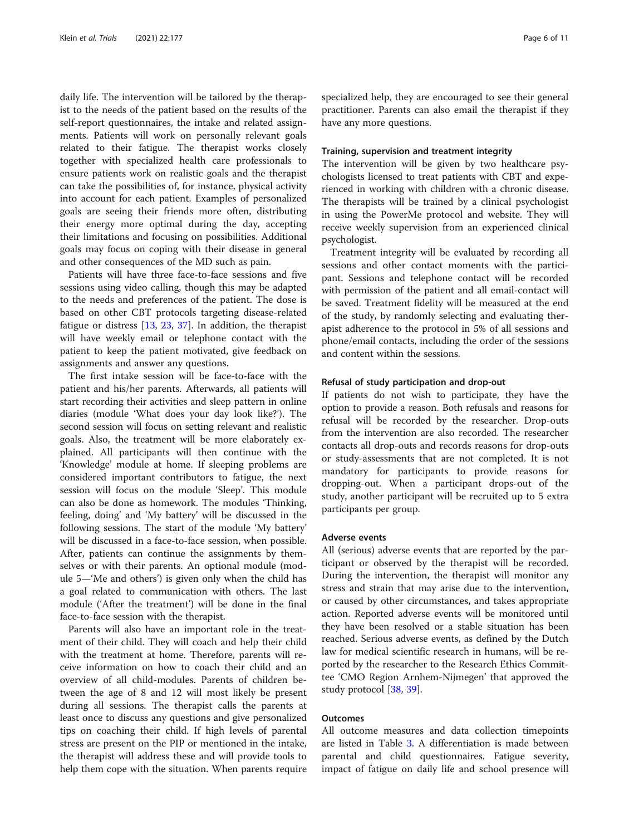daily life. The intervention will be tailored by the therapist to the needs of the patient based on the results of the self-report questionnaires, the intake and related assignments. Patients will work on personally relevant goals related to their fatigue. The therapist works closely together with specialized health care professionals to ensure patients work on realistic goals and the therapist can take the possibilities of, for instance, physical activity into account for each patient. Examples of personalized goals are seeing their friends more often, distributing their energy more optimal during the day, accepting their limitations and focusing on possibilities. Additional goals may focus on coping with their disease in general and other consequences of the MD such as pain.

Patients will have three face-to-face sessions and five sessions using video calling, though this may be adapted to the needs and preferences of the patient. The dose is based on other CBT protocols targeting disease-related fatigue or distress [\[13,](#page-9-0) [23](#page-9-0), [37\]](#page-10-0). In addition, the therapist will have weekly email or telephone contact with the patient to keep the patient motivated, give feedback on assignments and answer any questions.

The first intake session will be face-to-face with the patient and his/her parents. Afterwards, all patients will start recording their activities and sleep pattern in online diaries (module 'What does your day look like?'). The second session will focus on setting relevant and realistic goals. Also, the treatment will be more elaborately explained. All participants will then continue with the 'Knowledge' module at home. If sleeping problems are considered important contributors to fatigue, the next session will focus on the module 'Sleep'. This module can also be done as homework. The modules 'Thinking, feeling, doing' and 'My battery' will be discussed in the following sessions. The start of the module 'My battery' will be discussed in a face-to-face session, when possible. After, patients can continue the assignments by themselves or with their parents. An optional module (module 5—'Me and others') is given only when the child has a goal related to communication with others. The last module ('After the treatment') will be done in the final face-to-face session with the therapist.

Parents will also have an important role in the treatment of their child. They will coach and help their child with the treatment at home. Therefore, parents will receive information on how to coach their child and an overview of all child-modules. Parents of children between the age of 8 and 12 will most likely be present during all sessions. The therapist calls the parents at least once to discuss any questions and give personalized tips on coaching their child. If high levels of parental stress are present on the PIP or mentioned in the intake, the therapist will address these and will provide tools to help them cope with the situation. When parents require

specialized help, they are encouraged to see their general practitioner. Parents can also email the therapist if they have any more questions.

#### Training, supervision and treatment integrity

The intervention will be given by two healthcare psychologists licensed to treat patients with CBT and experienced in working with children with a chronic disease. The therapists will be trained by a clinical psychologist in using the PowerMe protocol and website. They will receive weekly supervision from an experienced clinical psychologist.

Treatment integrity will be evaluated by recording all sessions and other contact moments with the participant. Sessions and telephone contact will be recorded with permission of the patient and all email-contact will be saved. Treatment fidelity will be measured at the end of the study, by randomly selecting and evaluating therapist adherence to the protocol in 5% of all sessions and phone/email contacts, including the order of the sessions and content within the sessions.

#### Refusal of study participation and drop-out

If patients do not wish to participate, they have the option to provide a reason. Both refusals and reasons for refusal will be recorded by the researcher. Drop-outs from the intervention are also recorded. The researcher contacts all drop-outs and records reasons for drop-outs or study-assessments that are not completed. It is not mandatory for participants to provide reasons for dropping-out. When a participant drops-out of the study, another participant will be recruited up to 5 extra participants per group.

#### Adverse events

All (serious) adverse events that are reported by the participant or observed by the therapist will be recorded. During the intervention, the therapist will monitor any stress and strain that may arise due to the intervention, or caused by other circumstances, and takes appropriate action. Reported adverse events will be monitored until they have been resolved or a stable situation has been reached. Serious adverse events, as defined by the Dutch law for medical scientific research in humans, will be reported by the researcher to the Research Ethics Committee 'CMO Region Arnhem-Nijmegen' that approved the study protocol [\[38,](#page-10-0) [39\]](#page-10-0).

#### **Outcomes**

All outcome measures and data collection timepoints are listed in Table [3](#page-6-0). A differentiation is made between parental and child questionnaires. Fatigue severity, impact of fatigue on daily life and school presence will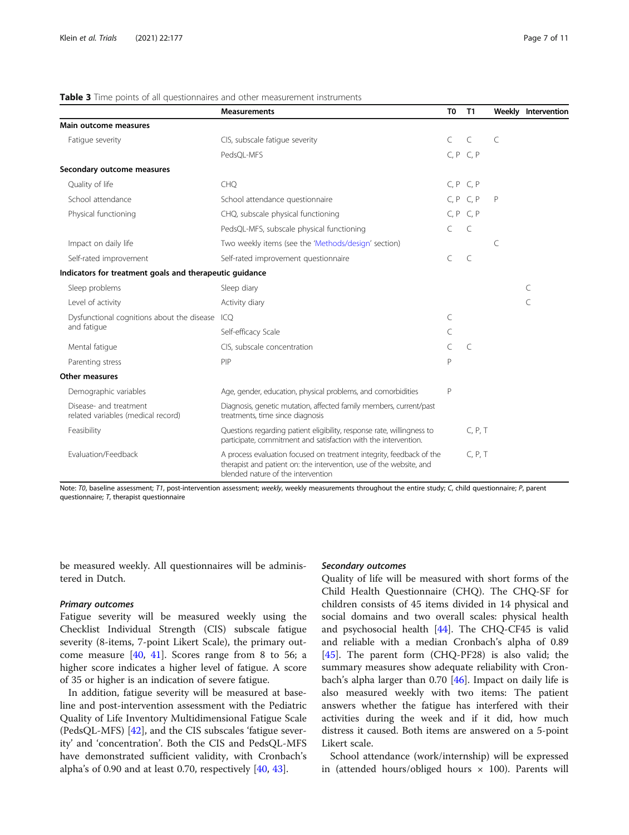|                                                              | <b>Measurements</b>                                                                                                                                                               | T <sub>0</sub> | T1         |           | Weekly Intervention |
|--------------------------------------------------------------|-----------------------------------------------------------------------------------------------------------------------------------------------------------------------------------|----------------|------------|-----------|---------------------|
| Main outcome measures                                        |                                                                                                                                                                                   |                |            |           |                     |
| Fatique severity                                             | CIS, subscale fatigue severity                                                                                                                                                    | $\mathcal{C}$  | $\subset$  | $\subset$ |                     |
|                                                              | PedsQL-MFS                                                                                                                                                                        |                | C, P, C, P |           |                     |
| Secondary outcome measures                                   |                                                                                                                                                                                   |                |            |           |                     |
| Quality of life                                              | <b>CHO</b>                                                                                                                                                                        |                | C. P. C. P |           |                     |
| School attendance                                            | School attendance questionnaire                                                                                                                                                   |                | C, P, C, P | P         |                     |
| Physical functioning                                         | CHQ, subscale physical functioning                                                                                                                                                |                | C, P, C, P |           |                     |
|                                                              | PedsQL-MFS, subscale physical functioning                                                                                                                                         | $\subset$      | C          |           |                     |
| Impact on daily life                                         | Two weekly items (see the 'Methods/design' section)                                                                                                                               |                |            | C         |                     |
| Self-rated improvement                                       | Self-rated improvement questionnaire                                                                                                                                              | C              | $\subset$  |           |                     |
| Indicators for treatment goals and therapeutic guidance      |                                                                                                                                                                                   |                |            |           |                     |
| Sleep problems                                               | Sleep diary                                                                                                                                                                       |                |            |           | C                   |
| Level of activity                                            | Activity diary                                                                                                                                                                    |                |            |           | C                   |
| Dysfunctional cognitions about the disease                   | ICO                                                                                                                                                                               | C              |            |           |                     |
| and fatigue                                                  | Self-efficacy Scale                                                                                                                                                               | C              |            |           |                     |
| Mental fatique                                               | CIS, subscale concentration                                                                                                                                                       | $\mathcal{C}$  | $\subset$  |           |                     |
| Parenting stress                                             | PIP                                                                                                                                                                               | $\mathsf{P}$   |            |           |                     |
| Other measures                                               |                                                                                                                                                                                   |                |            |           |                     |
| Demographic variables                                        | Age, gender, education, physical problems, and comorbidities                                                                                                                      | P              |            |           |                     |
| Disease- and treatment<br>related variables (medical record) | Diagnosis, genetic mutation, affected family members, current/past<br>treatments, time since diagnosis                                                                            |                |            |           |                     |
| Feasibility                                                  | Questions regarding patient eligibility, response rate, willingness to<br>participate, commitment and satisfaction with the intervention.                                         |                | C, P, T    |           |                     |
| <b>Fyaluation/Feedback</b>                                   | A process evaluation focused on treatment integrity, feedback of the<br>therapist and patient on: the intervention, use of the website, and<br>blended nature of the intervention |                | C, P, T    |           |                     |

<span id="page-6-0"></span>Table 3 Time points of all questionnaires and other measurement instruments

Note: T0, baseline assessment; T1, post-intervention assessment; weekly, weekly measurements throughout the entire study; C, child questionnaire; P, parent questionnaire; T, therapist questionnaire

be measured weekly. All questionnaires will be administered in Dutch.

#### Primary outcomes

Fatigue severity will be measured weekly using the Checklist Individual Strength (CIS) subscale fatigue severity (8-items, 7-point Likert Scale), the primary outcome measure [[40,](#page-10-0) [41\]](#page-10-0). Scores range from 8 to 56; a higher score indicates a higher level of fatigue. A score of 35 or higher is an indication of severe fatigue.

In addition, fatigue severity will be measured at baseline and post-intervention assessment with the Pediatric Quality of Life Inventory Multidimensional Fatigue Scale (PedsQL-MFS) [[42\]](#page-10-0), and the CIS subscales 'fatigue severity' and 'concentration'. Both the CIS and PedsQL-MFS have demonstrated sufficient validity, with Cronbach's alpha's of 0.90 and at least 0.70, respectively [\[40](#page-10-0), [43\]](#page-10-0).

#### Secondary outcomes

Quality of life will be measured with short forms of the Child Health Questionnaire (CHQ). The CHQ-SF for children consists of 45 items divided in 14 physical and social domains and two overall scales: physical health and psychosocial health [\[44](#page-10-0)]. The CHQ-CF45 is valid and reliable with a median Cronbach's alpha of 0.89 [[45\]](#page-10-0). The parent form (CHQ-PF28) is also valid; the summary measures show adequate reliability with Cronbach's alpha larger than 0.70 [[46\]](#page-10-0). Impact on daily life is also measured weekly with two items: The patient answers whether the fatigue has interfered with their activities during the week and if it did, how much distress it caused. Both items are answered on a 5-point Likert scale.

School attendance (work/internship) will be expressed in (attended hours/obliged hours  $\times$  100). Parents will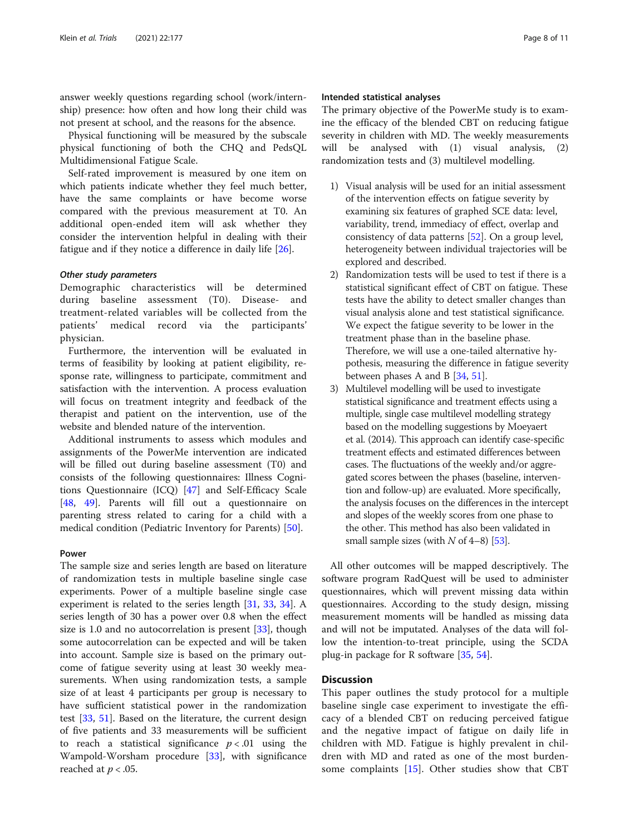answer weekly questions regarding school (work/internship) presence: how often and how long their child was not present at school, and the reasons for the absence.

Physical functioning will be measured by the subscale physical functioning of both the CHQ and PedsQL Multidimensional Fatigue Scale.

Self-rated improvement is measured by one item on which patients indicate whether they feel much better, have the same complaints or have become worse compared with the previous measurement at T0. An additional open-ended item will ask whether they consider the intervention helpful in dealing with their fatigue and if they notice a difference in daily life [[26](#page-9-0)].

#### Other study parameters

Demographic characteristics will be determined during baseline assessment (T0). Disease- and treatment-related variables will be collected from the patients' medical record via the participants' physician.

Furthermore, the intervention will be evaluated in terms of feasibility by looking at patient eligibility, response rate, willingness to participate, commitment and satisfaction with the intervention. A process evaluation will focus on treatment integrity and feedback of the therapist and patient on the intervention, use of the website and blended nature of the intervention.

Additional instruments to assess which modules and assignments of the PowerMe intervention are indicated will be filled out during baseline assessment (T0) and consists of the following questionnaires: Illness Cognitions Questionnaire (ICQ) [[47\]](#page-10-0) and Self-Efficacy Scale [[48,](#page-10-0) [49\]](#page-10-0). Parents will fill out a questionnaire on parenting stress related to caring for a child with a medical condition (Pediatric Inventory for Parents) [[50\]](#page-10-0).

#### Power

The sample size and series length are based on literature of randomization tests in multiple baseline single case experiments. Power of a multiple baseline single case experiment is related to the series length [\[31,](#page-10-0) [33](#page-10-0), [34\]](#page-10-0). A series length of 30 has a power over 0.8 when the effect size is 1.0 and no autocorrelation is present [\[33](#page-10-0)], though some autocorrelation can be expected and will be taken into account. Sample size is based on the primary outcome of fatigue severity using at least 30 weekly measurements. When using randomization tests, a sample size of at least 4 participants per group is necessary to have sufficient statistical power in the randomization test [\[33,](#page-10-0) [51\]](#page-10-0). Based on the literature, the current design of five patients and 33 measurements will be sufficient to reach a statistical significance  $p < .01$  using the Wampold-Worsham procedure [[33\]](#page-10-0), with significance reached at  $p < .05$ .

#### Intended statistical analyses

The primary objective of the PowerMe study is to examine the efficacy of the blended CBT on reducing fatigue severity in children with MD. The weekly measurements will be analysed with (1) visual analysis, (2) randomization tests and (3) multilevel modelling.

- 1) Visual analysis will be used for an initial assessment of the intervention effects on fatigue severity by examining six features of graphed SCE data: level, variability, trend, immediacy of effect, overlap and consistency of data patterns [[52](#page-10-0)]. On a group level, heterogeneity between individual trajectories will be explored and described.
- 2) Randomization tests will be used to test if there is a statistical significant effect of CBT on fatigue. These tests have the ability to detect smaller changes than visual analysis alone and test statistical significance. We expect the fatigue severity to be lower in the treatment phase than in the baseline phase. Therefore, we will use a one-tailed alternative hypothesis, measuring the difference in fatigue severity between phases A and B  $[34, 51]$  $[34, 51]$  $[34, 51]$  $[34, 51]$ .
- 3) Multilevel modelling will be used to investigate statistical significance and treatment effects using a multiple, single case multilevel modelling strategy based on the modelling suggestions by Moeyaert et al. (2014). This approach can identify case-specific treatment effects and estimated differences between cases. The fluctuations of the weekly and/or aggregated scores between the phases (baseline, intervention and follow-up) are evaluated. More specifically, the analysis focuses on the differences in the intercept and slopes of the weekly scores from one phase to the other. This method has also been validated in small sample sizes (with  $N$  of 4–8) [\[53\]](#page-10-0).

All other outcomes will be mapped descriptively. The software program RadQuest will be used to administer questionnaires, which will prevent missing data within questionnaires. According to the study design, missing measurement moments will be handled as missing data and will not be imputated. Analyses of the data will follow the intention-to-treat principle, using the SCDA plug-in package for R software [\[35](#page-10-0), [54](#page-10-0)].

#### **Discussion**

This paper outlines the study protocol for a multiple baseline single case experiment to investigate the efficacy of a blended CBT on reducing perceived fatigue and the negative impact of fatigue on daily life in children with MD. Fatigue is highly prevalent in children with MD and rated as one of the most burdensome complaints [\[15](#page-9-0)]. Other studies show that CBT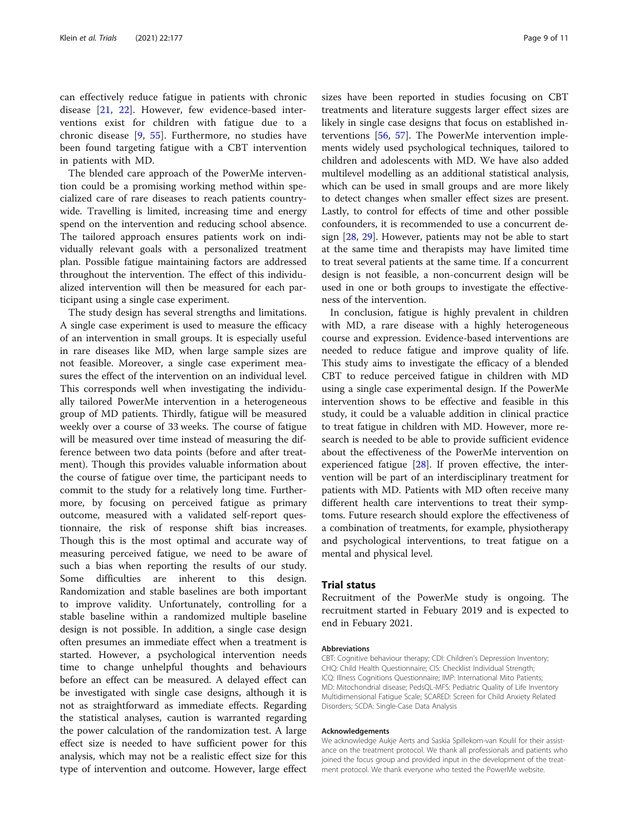can effectively reduce fatigue in patients with chronic disease [[21,](#page-9-0) [22\]](#page-9-0). However, few evidence-based interventions exist for children with fatigue due to a chronic disease [\[9](#page-9-0), [55](#page-10-0)]. Furthermore, no studies have been found targeting fatigue with a CBT intervention in patients with MD.

The blended care approach of the PowerMe intervention could be a promising working method within specialized care of rare diseases to reach patients countrywide. Travelling is limited, increasing time and energy spend on the intervention and reducing school absence. The tailored approach ensures patients work on individually relevant goals with a personalized treatment plan. Possible fatigue maintaining factors are addressed throughout the intervention. The effect of this individualized intervention will then be measured for each participant using a single case experiment.

The study design has several strengths and limitations. A single case experiment is used to measure the efficacy of an intervention in small groups. It is especially useful in rare diseases like MD, when large sample sizes are not feasible. Moreover, a single case experiment measures the effect of the intervention on an individual level. This corresponds well when investigating the individually tailored PowerMe intervention in a heterogeneous group of MD patients. Thirdly, fatigue will be measured weekly over a course of 33 weeks. The course of fatigue will be measured over time instead of measuring the difference between two data points (before and after treatment). Though this provides valuable information about the course of fatigue over time, the participant needs to commit to the study for a relatively long time. Furthermore, by focusing on perceived fatigue as primary outcome, measured with a validated self-report questionnaire, the risk of response shift bias increases. Though this is the most optimal and accurate way of measuring perceived fatigue, we need to be aware of such a bias when reporting the results of our study. Some difficulties are inherent to this design. Randomization and stable baselines are both important to improve validity. Unfortunately, controlling for a stable baseline within a randomized multiple baseline design is not possible. In addition, a single case design often presumes an immediate effect when a treatment is started. However, a psychological intervention needs time to change unhelpful thoughts and behaviours before an effect can be measured. A delayed effect can be investigated with single case designs, although it is not as straightforward as immediate effects. Regarding the statistical analyses, caution is warranted regarding the power calculation of the randomization test. A large effect size is needed to have sufficient power for this analysis, which may not be a realistic effect size for this type of intervention and outcome. However, large effect

sizes have been reported in studies focusing on CBT treatments and literature suggests larger effect sizes are likely in single case designs that focus on established interventions [[56,](#page-10-0) [57](#page-10-0)]. The PowerMe intervention implements widely used psychological techniques, tailored to children and adolescents with MD. We have also added multilevel modelling as an additional statistical analysis, which can be used in small groups and are more likely to detect changes when smaller effect sizes are present. Lastly, to control for effects of time and other possible confounders, it is recommended to use a concurrent design [[28](#page-10-0), [29\]](#page-10-0). However, patients may not be able to start at the same time and therapists may have limited time to treat several patients at the same time. If a concurrent design is not feasible, a non-concurrent design will be used in one or both groups to investigate the effectiveness of the intervention.

In conclusion, fatigue is highly prevalent in children with MD, a rare disease with a highly heterogeneous course and expression. Evidence-based interventions are needed to reduce fatigue and improve quality of life. This study aims to investigate the efficacy of a blended CBT to reduce perceived fatigue in children with MD using a single case experimental design. If the PowerMe intervention shows to be effective and feasible in this study, it could be a valuable addition in clinical practice to treat fatigue in children with MD. However, more research is needed to be able to provide sufficient evidence about the effectiveness of the PowerMe intervention on experienced fatigue [[28\]](#page-10-0). If proven effective, the intervention will be part of an interdisciplinary treatment for patients with MD. Patients with MD often receive many different health care interventions to treat their symptoms. Future research should explore the effectiveness of a combination of treatments, for example, physiotherapy and psychological interventions, to treat fatigue on a mental and physical level.

#### Trial status

Recruitment of the PowerMe study is ongoing. The recruitment started in Febuary 2019 and is expected to end in Febuary 2021.

#### Abbreviations

CBT: Cognitive behaviour therapy; CDI: Children's Depression Inventory; CHQ: Child Health Questionnaire; CIS: Checklist Individual Strength; ICQ: Illness Cognitions Questionnaire; IMP: International Mito Patients; MD: Mitochondrial disease; PedsQL-MFS: Pediatric Quality of Life Inventory Multidimensional Fatigue Scale; SCARED: Screen for Child Anxiety Related Disorders; SCDA: Single-Case Data Analysis

#### Acknowledgements

We acknowledge Aukje Aerts and Saskia Spillekom-van Koulil for their assistance on the treatment protocol. We thank all professionals and patients who joined the focus group and provided input in the development of the treatment protocol. We thank everyone who tested the PowerMe website.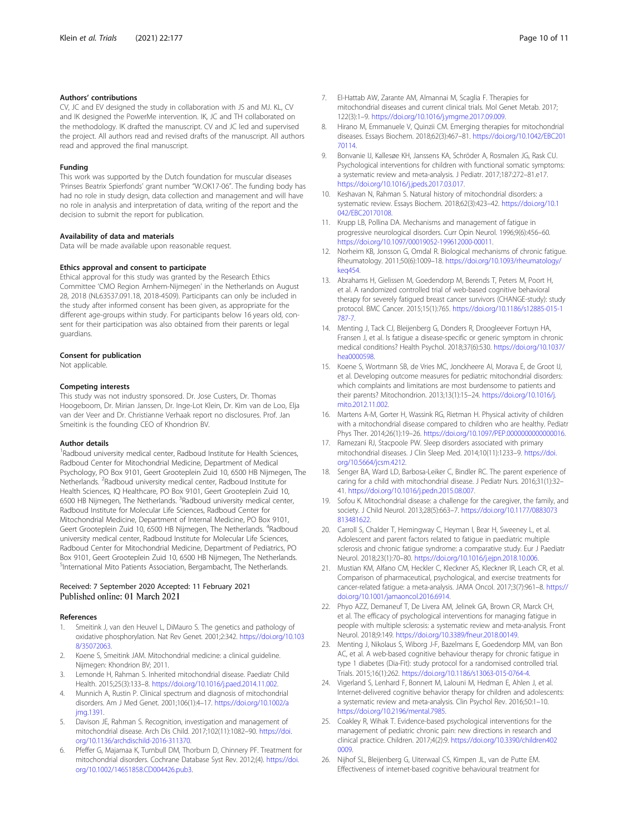#### <span id="page-9-0"></span>Authors' contributions

CV, JC and EV designed the study in collaboration with JS and MJ. KL, CV and IK designed the PowerMe intervention. IK, JC and TH collaborated on the methodology. IK drafted the manuscript. CV and JC led and supervised the project. All authors read and revised drafts of the manuscript. All authors read and approved the final manuscript.

#### Funding

This work was supported by the Dutch foundation for muscular diseases 'Prinses Beatrix Spierfonds' grant number "W.OK17-06". The funding body has had no role in study design, data collection and management and will have no role in analysis and interpretation of data, writing of the report and the decision to submit the report for publication.

#### Availability of data and materials

Data will be made available upon reasonable request.

#### Ethics approval and consent to participate

Ethical approval for this study was granted by the Research Ethics Committee 'CMO Region Arnhem-Nijmegen' in the Netherlands on August 28, 2018 (NL63537.091.18, 2018-4509). Participants can only be included in the study after informed consent has been given, as appropriate for the different age-groups within study. For participants below 16 years old, consent for their participation was also obtained from their parents or legal guardians.

#### Consent for publication

Not applicable.

#### Competing interests

This study was not industry sponsored. Dr. Jose Custers, Dr. Thomas Hoogeboom, Dr. Mirian Janssen, Dr. Inge-Lot Klein, Dr. Kim van de Loo, Elja van der Veer and Dr. Christianne Verhaak report no disclosures. Prof. Jan Smeitink is the founding CEO of Khondrion BV.

#### Author details

<sup>1</sup>Radboud university medical center, Radboud Institute for Health Sciences, Radboud Center for Mitochondrial Medicine, Department of Medical Psychology, PO Box 9101, Geert Grooteplein Zuid 10, 6500 HB Nijmegen, The Netherlands. <sup>2</sup>Radboud university medical center, Radboud Institute for Health Sciences, IQ Healthcare, PO Box 9101, Geert Grooteplein Zuid 10, 6500 HB Nijmegen, The Netherlands. <sup>3</sup>Radboud university medical center, Radboud Institute for Molecular Life Sciences, Radboud Center for Mitochondrial Medicine, Department of Internal Medicine, PO Box 9101, Geert Grooteplein Zuid 10, 6500 HB Nijmegen, The Netherlands. <sup>4</sup>Radboud university medical center, Radboud Institute for Molecular Life Sciences, Radboud Center for Mitochondrial Medicine, Department of Pediatrics, PO Box 9101, Geert Grooteplein Zuid 10, 6500 HB Nijmegen, The Netherlands. 5 International Mito Patients Association, Bergambacht, The Netherlands.

#### Received: 7 September 2020 Accepted: 11 February 2021 Published online: 01 March 2021

#### References

- 1. Smeitink J, van den Heuvel L, DiMauro S. The genetics and pathology of oxidative phosphorylation. Nat Rev Genet. 2001;2:342. [https://doi.org/10.103](https://doi.org/10.1038/35072063) [8/35072063.](https://doi.org/10.1038/35072063)
- 2. Koene S, Smeitink JAM. Mitochondrial medicine: a clinical guideline. Nijmegen: Khondrion BV; 2011.
- 3. Lemonde H, Rahman S. Inherited mitochondrial disease. Paediatr Child Health. 2015;25(3):133–8. <https://doi.org/10.1016/j.paed.2014.11.002>.
- 4. Munnich A, Rustin P. Clinical spectrum and diagnosis of mitochondrial disorders. Am J Med Genet. 2001;106(1):4–17. [https://doi.org/10.1002/a](https://doi.org/10.1002/ajmg.1391) [jmg.1391.](https://doi.org/10.1002/ajmg.1391)
- 5. Davison JE, Rahman S. Recognition, investigation and management of mitochondrial disease. Arch Dis Child. 2017;102(11):1082–90. [https://doi.](https://doi.org/10.1136/archdischild-2016-311370) [org/10.1136/archdischild-2016-311370](https://doi.org/10.1136/archdischild-2016-311370).
- 6. Pfeffer G, Majamaa K, Turnbull DM, Thorburn D, Chinnery PF. Treatment for mitochondrial disorders. Cochrane Database Syst Rev. 2012;(4). [https://doi.](https://doi.org/10.1002/14651858.CD004426.pub3) [org/10.1002/14651858.CD004426.pub3.](https://doi.org/10.1002/14651858.CD004426.pub3)
- 7. El-Hattab AW, Zarante AM, Almannai M, Scaglia F. Therapies for mitochondrial diseases and current clinical trials. Mol Genet Metab. 2017; 122(3):1–9. <https://doi.org/10.1016/j.ymgme.2017.09.009>.
- Hirano M, Emmanuele V, Quinzii CM. Emerging therapies for mitochondrial diseases. Essays Biochem. 2018;62(3):467–81. [https://doi.org/10.1042/EBC201](https://doi.org/10.1042/EBC20170114) [70114.](https://doi.org/10.1042/EBC20170114)
- 9. Bonvanie IJ, Kallesøe KH, Janssens KA, Schröder A, Rosmalen JG, Rask CU. Psychological interventions for children with functional somatic symptoms: a systematic review and meta-analysis. J Pediatr. 2017;187:272–81.e17. <https://doi.org/10.1016/j.jpeds.2017.03.017>.
- 10. Keshavan N, Rahman S. Natural history of mitochondrial disorders: a systematic review. Essays Biochem. 2018;62(3):423–42. [https://doi.org/10.1](https://doi.org/10.1042/EBC20170108) [042/EBC20170108.](https://doi.org/10.1042/EBC20170108)
- 11. Krupp LB, Pollina DA. Mechanisms and management of fatigue in progressive neurological disorders. Curr Opin Neurol. 1996;9(6):456–60. <https://doi.org/10.1097/00019052-199612000-00011>.
- 12. Norheim KB, Jonsson G, Omdal R. Biological mechanisms of chronic fatigue. Rheumatology. 2011;50(6):1009–18. [https://doi.org/10.1093/rheumatology/](https://doi.org/10.1093/rheumatology/keq454) [keq454](https://doi.org/10.1093/rheumatology/keq454).
- 13. Abrahams H, Gielissen M, Goedendorp M, Berends T, Peters M, Poort H, et al. A randomized controlled trial of web-based cognitive behavioral therapy for severely fatigued breast cancer survivors (CHANGE-study): study protocol. BMC Cancer. 2015;15(1):765. [https://doi.org/10.1186/s12885-015-1](https://doi.org/10.1186/s12885-015-1787-7) [787-7](https://doi.org/10.1186/s12885-015-1787-7).
- 14. Menting J, Tack CJ, Bleijenberg G, Donders R, Droogleever Fortuyn HA, Fransen J, et al. Is fatigue a disease-specific or generic symptom in chronic medical conditions? Health Psychol. 2018;37(6):530. [https://doi.org/10.1037/](https://doi.org/10.1037/hea0000598) [hea0000598.](https://doi.org/10.1037/hea0000598)
- 15. Koene S, Wortmann SB, de Vries MC, Jonckheere AI, Morava E, de Groot IJ, et al. Developing outcome measures for pediatric mitochondrial disorders: which complaints and limitations are most burdensome to patients and their parents? Mitochondrion. 2013;13(1):15–24. [https://doi.org/10.1016/j.](https://doi.org/10.1016/j.mito.2012.11.002) [mito.2012.11.002](https://doi.org/10.1016/j.mito.2012.11.002).
- 16. Martens A-M, Gorter H, Wassink RG, Rietman H. Physical activity of children with a mitochondrial disease compared to children who are healthy. Pediatr Phys Ther. 2014;26(1):19–26. [https://doi.org/10.1097/PEP.0000000000000016.](https://doi.org/10.1097/PEP.0000000000000016)
- 17. Ramezani RJ, Stacpoole PW. Sleep disorders associated with primary mitochondrial diseases. J Clin Sleep Med. 2014;10(11):1233–9. [https://doi.](https://doi.org/10.5664/jcsm.4212) [org/10.5664/jcsm.4212.](https://doi.org/10.5664/jcsm.4212)
- 18. Senger BA, Ward LD, Barbosa-Leiker C, Bindler RC. The parent experience of caring for a child with mitochondrial disease. J Pediatr Nurs. 2016;31(1):32– 41. [https://doi.org/10.1016/j.pedn.2015.08.007.](https://doi.org/10.1016/j.pedn.2015.08.007)
- 19. Sofou K. Mitochondrial disease: a challenge for the caregiver, the family, and society. J Child Neurol. 2013;28(5):663–7. [https://doi.org/10.1177/0883073](https://doi.org/10.1177/0883073813481622) [813481622](https://doi.org/10.1177/0883073813481622).
- 20. Carroll S, Chalder T, Hemingway C, Heyman I, Bear H, Sweeney L, et al. Adolescent and parent factors related to fatigue in paediatric multiple sclerosis and chronic fatigue syndrome: a comparative study. Eur J Paediatr Neurol. 2018;23(1):70–80. <https://doi.org/10.1016/j.ejpn.2018.10.006>.
- 21. Mustian KM, Alfano CM, Heckler C, Kleckner AS, Kleckner IR, Leach CR, et al. Comparison of pharmaceutical, psychological, and exercise treatments for cancer-related fatigue: a meta-analysis. JAMA Oncol. 2017;3(7):961–8. [https://](https://doi.org/10.1001/jamaoncol.2016.6914) [doi.org/10.1001/jamaoncol.2016.6914.](https://doi.org/10.1001/jamaoncol.2016.6914)
- 22. Phyo AZZ, Demaneuf T, De Livera AM, Jelinek GA, Brown CR, Marck CH, et al. The efficacy of psychological interventions for managing fatigue in people with multiple sclerosis: a systematic review and meta-analysis. Front Neurol. 2018;9:149. <https://doi.org/10.3389/fneur.2018.00149>.
- 23. Menting J, Nikolaus S, Wiborg J-F, Bazelmans E, Goedendorp MM, van Bon AC, et al. A web-based cognitive behaviour therapy for chronic fatigue in type 1 diabetes (Dia-Fit): study protocol for a randomised controlled trial. Trials. 2015;16(1):262. <https://doi.org/10.1186/s13063-015-0764-4>.
- 24. Vigerland S, Lenhard F, Bonnert M, Lalouni M, Hedman E, Ahlen J, et al. Internet-delivered cognitive behavior therapy for children and adolescents: a systematic review and meta-analysis. Clin Psychol Rev. 2016;50:1–10. [https://doi.org/10.2196/mental.7985.](https://doi.org/10.2196/mental.7985)
- 25. Coakley R, Wihak T. Evidence-based psychological interventions for the management of pediatric chronic pain: new directions in research and clinical practice. Children. 2017;4(2):9. [https://doi.org/10.3390/children402](https://doi.org/10.3390/children4020009) [0009](https://doi.org/10.3390/children4020009).
- 26. Nijhof SL, Bleijenberg G, Uiterwaal CS, Kimpen JL, van de Putte EM. Effectiveness of internet-based cognitive behavioural treatment for